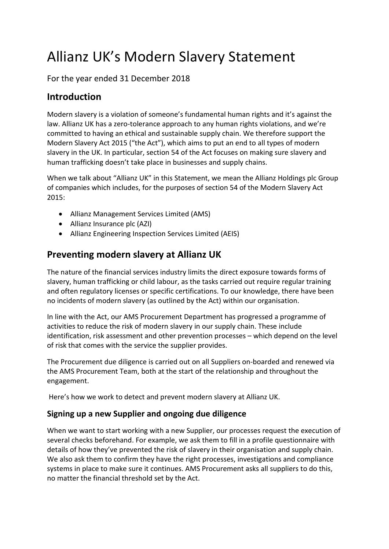# Allianz UK's Modern Slavery Statement

For the year ended 31 December 2018

# **Introduction**

Modern slavery is a violation of someone's fundamental human rights and it's against the law. Allianz UK has a zero-tolerance approach to any human rights violations, and we're committed to having an ethical and sustainable supply chain. We therefore support the Modern Slavery Act 2015 ("the Act"), which aims to put an end to all types of modern slavery in the UK. In particular, section 54 of the Act focuses on making sure slavery and human trafficking doesn't take place in businesses and supply chains.

When we talk about "Allianz UK" in this Statement, we mean the Allianz Holdings plc Group of companies which includes, for the purposes of section 54 of the Modern Slavery Act 2015:

- Allianz Management Services Limited (AMS)
- Allianz Insurance plc (AZI)
- Allianz Engineering Inspection Services Limited (AEIS)

# **Preventing modern slavery at Allianz UK**

The nature of the financial services industry limits the direct exposure towards forms of slavery, human trafficking or child labour, as the tasks carried out require regular training and often regulatory licenses or specific certifications. To our knowledge, there have been no incidents of modern slavery (as outlined by the Act) within our organisation.

In line with the Act, our AMS Procurement Department has progressed a programme of activities to reduce the risk of modern slavery in our supply chain. These include identification, risk assessment and other prevention processes – which depend on the level of risk that comes with the service the supplier provides.

The Procurement due diligence is carried out on all Suppliers on-boarded and renewed via the AMS Procurement Team, both at the start of the relationship and throughout the engagement.

Here's how we work to detect and prevent modern slavery at Allianz UK.

## **Signing up a new Supplier and ongoing due diligence**

When we want to start working with a new Supplier, our processes request the execution of several checks beforehand. For example, we ask them to fill in a profile questionnaire with details of how they've prevented the risk of slavery in their organisation and supply chain. We also ask them to confirm they have the right processes, investigations and compliance systems in place to make sure it continues. AMS Procurement asks all suppliers to do this, no matter the financial threshold set by the Act.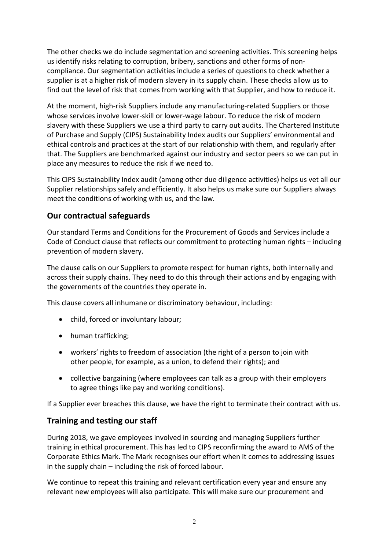The other checks we do include segmentation and screening activities. This screening helps us identify risks relating to corruption, bribery, sanctions and other forms of noncompliance. Our segmentation activities include a series of questions to check whether a supplier is at a higher risk of modern slavery in its supply chain. These checks allow us to find out the level of risk that comes from working with that Supplier, and how to reduce it.

At the moment, high-risk Suppliers include any manufacturing-related Suppliers or those whose services involve lower-skill or lower-wage labour. To reduce the risk of modern slavery with these Suppliers we use a third party to carry out audits. The Chartered Institute of Purchase and Supply (CIPS) Sustainability Index audits our Suppliers' environmental and ethical controls and practices at the start of our relationship with them, and regularly after that. The Suppliers are benchmarked against our industry and sector peers so we can put in place any measures to reduce the risk if we need to.

This CIPS Sustainability Index audit (among other due diligence activities) helps us vet all our Supplier relationships safely and efficiently. It also helps us make sure our Suppliers always meet the conditions of working with us, and the law.

#### **Our contractual safeguards**

Our standard Terms and Conditions for the Procurement of Goods and Services include a Code of Conduct clause that reflects our commitment to protecting human rights – including prevention of modern slavery.

The clause calls on our Suppliers to promote respect for human rights, both internally and across their supply chains. They need to do this through their actions and by engaging with the governments of the countries they operate in.

This clause covers all inhumane or discriminatory behaviour, including:

- child, forced or involuntary labour;
- human trafficking;
- workers' rights to freedom of association (the [right](http://dictionary.cambridge.org/dictionary/english/right) of a [person](http://dictionary.cambridge.org/dictionary/english/person) to [join](http://dictionary.cambridge.org/dictionary/english/join) with other [people,](http://dictionary.cambridge.org/dictionary/english/people) for [example,](http://dictionary.cambridge.org/dictionary/english/example) as a [union,](http://dictionary.cambridge.org/dictionary/english/union) to [defend](http://dictionary.cambridge.org/dictionary/english/defend) their [rights\)](http://dictionary.cambridge.org/dictionary/english/right); and
- collective bargaining (where [employees](http://dictionary.cambridge.org/dictionary/english/employee) can [talk](http://dictionary.cambridge.org/dictionary/english/talk) as a [group](http://dictionary.cambridge.org/dictionary/english/group) with [their](http://dictionary.cambridge.org/dictionary/english/their) [employers](http://dictionary.cambridge.org/dictionary/english/employer) to [agree](http://dictionary.cambridge.org/dictionary/english/agree) things like [pay](http://dictionary.cambridge.org/dictionary/english/pay) and [working](http://dictionary.cambridge.org/dictionary/english/working) [conditions\)](http://dictionary.cambridge.org/dictionary/english/condition).

If a Supplier ever breaches this clause, we have the right to terminate their contract with us.

#### **Training and testing our staff**

During 2018, we gave employees involved in sourcing and managing Suppliers further training in ethical procurement. This has led to CIPS reconfirming the award to AMS of the Corporate Ethics Mark. The Mark recognises our effort when it comes to addressing issues in the supply chain – including the risk of forced labour.

We continue to repeat this training and relevant certification every year and ensure any relevant new employees will also participate. This will make sure our procurement and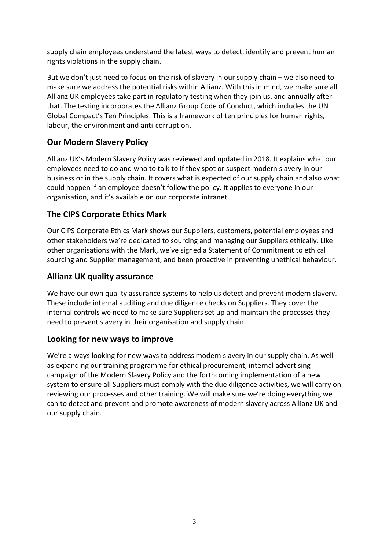supply chain employees understand the latest ways to detect, identify and prevent human rights violations in the supply chain.

But we don't just need to focus on the risk of slavery in our supply chain – we also need to make sure we address the potential risks within Allianz. With this in mind, we make sure all Allianz UK employees take part in regulatory testing when they join us, and annually after that. The testing incorporates the Allianz Group Code of Conduct, which includes the UN Global Compact's Ten Principles. This is a framework of ten principles for human rights, labour, the environment and anti-corruption.

# **Our Modern Slavery Policy**

Allianz UK's Modern Slavery Policy was reviewed and updated in 2018. It explains what our employees need to do and who to talk to if they spot or suspect modern slavery in our business or in the supply chain. It covers what is expected of our supply chain and also what could happen if an employee doesn't follow the policy. It applies to everyone in our organisation, and it's available on our corporate intranet.

# **The CIPS Corporate Ethics Mark**

Our CIPS Corporate Ethics Mark shows our Suppliers, customers, potential employees and other stakeholders we're dedicated to sourcing and managing our Suppliers ethically. Like other organisations with the Mark, we've signed a Statement of Commitment to ethical sourcing and Supplier management, and been proactive in preventing unethical behaviour.

### **Allianz UK quality assurance**

We have our own quality assurance systems to help us detect and prevent modern slavery. These include internal auditing and due diligence checks on Suppliers. They cover the internal controls we need to make sure Suppliers set up and maintain the processes they need to prevent slavery in their organisation and supply chain.

## **Looking for new ways to improve**

We're always looking for new ways to address modern slavery in our supply chain. As well as expanding our training programme for ethical procurement, internal advertising campaign of the Modern Slavery Policy and the forthcoming implementation of a new system to ensure all Suppliers must comply with the due diligence activities, we will carry on reviewing our processes and other training. We will make sure we're doing everything we can to detect and prevent and promote awareness of modern slavery across Allianz UK and our supply chain.